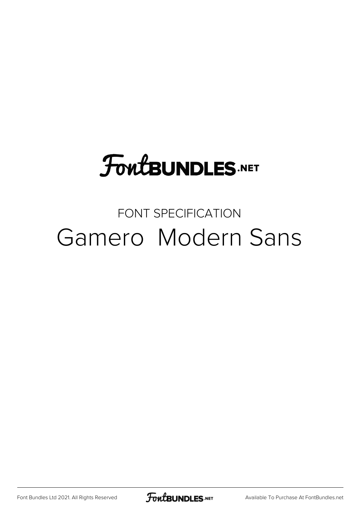# **FoutBUNDLES.NET**

#### FONT SPECIFICATION Gamero Modern Sans

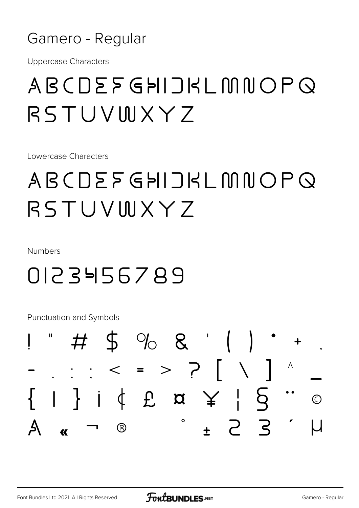#### Gamero - Regular

**Uppercase Characters** 

### ABCDEFGHIJKLMNOPQ RSTUVWXYZ

Lowercase Characters

## ABCDEFGHIJKLMNOPQ RSTUVINXY7

Numbers

#### 0123456789

**Punctuation and Symbols** 

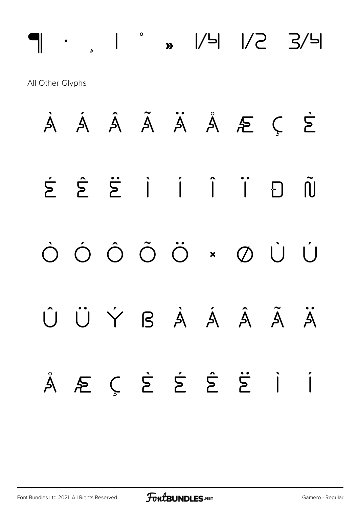¶ · ¸ ¹ º » ¼ ½ ¾ All Other Glyphs À Á Â Ã Ä Å Æ Ç È É Ê Ë Ì Í Î Ï Ð Ñ Ò Ó Ô Õ Ö × Ø Ù Ú Û Ü Ý ß à á â ã ä å æ ç è é ê ë ì í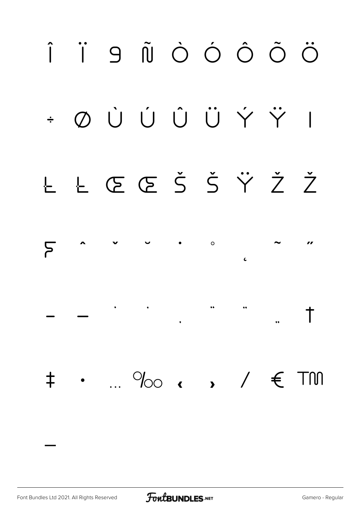